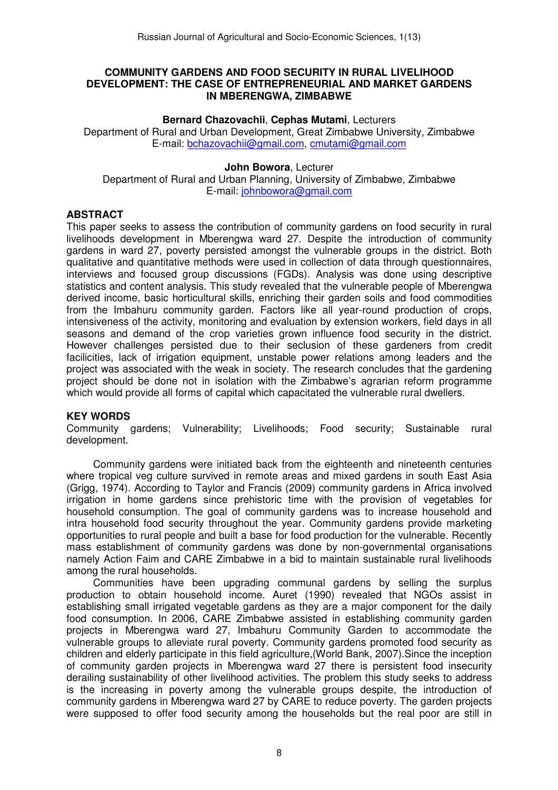#### **COMMUNITY GARDENS AND FOOD SECURITY IN RURAL LIVELIHOOD DEVELOPMENT: THE CASE OF ENTREPRENEURIAL AND MARKET GARDENS IN MBERENGWA, ZIMBABWE**

#### **Bernard Chazovachii**, **Cephas Mutami**, Lecturers

Department of Rural and Urban Development, Great Zimbabwe University, Zimbabwe E-mail: bchazovachii@gmail.com, cmutami@gmail.com

#### **John Bowora**, Lecturer

Department of Rural and Urban Planning, University of Zimbabwe, Zimbabwe E-mail: johnbowora@gmail.com

## **ABSTRACT**

This paper seeks to assess the contribution of community gardens on food security in rural livelihoods development in Mberengwa ward 27. Despite the introduction of community gardens in ward 27, poverty persisted amongst the vulnerable groups in the district. Both qualitative and quantitative methods were used in collection of data through questionnaires, interviews and focused group discussions (FGDs). Analysis was done using descriptive statistics and content analysis. This study revealed that the vulnerable people of Mberengwa derived income, basic horticultural skills, enriching their garden soils and food commodities from the Imbahuru community garden. Factors like all year-round production of crops, intensiveness of the activity, monitoring and evaluation by extension workers, field days in all seasons and demand of the crop varieties grown influence food security in the district. However challenges persisted due to their seclusion of these gardeners from credit facilicities, lack of irrigation equipment, unstable power relations among leaders and the project was associated with the weak in society. The research concludes that the gardening project should be done not in isolation with the Zimbabwe's agrarian reform programme which would provide all forms of capital which capacitated the vulnerable rural dwellers.

## **KEY WORDS**

Community gardens; Vulnerability; Livelihoods; Food security; Sustainable rural development.

Community gardens were initiated back from the eighteenth and nineteenth centuries where tropical veg culture survived in remote areas and mixed gardens in south East Asia (Grigg, 1974). According to Taylor and Francis (2009) community gardens in Africa involved irrigation in home gardens since prehistoric time with the provision of vegetables for household consumption. The goal of community gardens was to increase household and intra household food security throughout the year. Community gardens provide marketing opportunities to rural people and built a base for food production for the vulnerable. Recently mass establishment of community gardens was done by non-governmental organisations namely Action Faim and CARE Zimbabwe in a bid to maintain sustainable rural livelihoods among the rural households.

Communities have been upgrading communal gardens by selling the surplus production to obtain household income. Auret (1990) revealed that NGOs assist in establishing small irrigated vegetable gardens as they are a major component for the daily food consumption. In 2006, CARE Zimbabwe assisted in establishing community garden projects in Mberengwa ward 27, Imbahuru Community Garden to accommodate the vulnerable groups to alleviate rural poverty. Community gardens promoted food security as children and elderly participate in this field agriculture,(World Bank, 2007).Since the inception of community garden projects in Mberengwa ward 27 there is persistent food insecurity derailing sustainability of other livelihood activities. The problem this study seeks to address is the increasing in poverty among the vulnerable groups despite, the introduction of community gardens in Mberengwa ward 27 by CARE to reduce poverty. The garden projects were supposed to offer food security among the households but the real poor are still in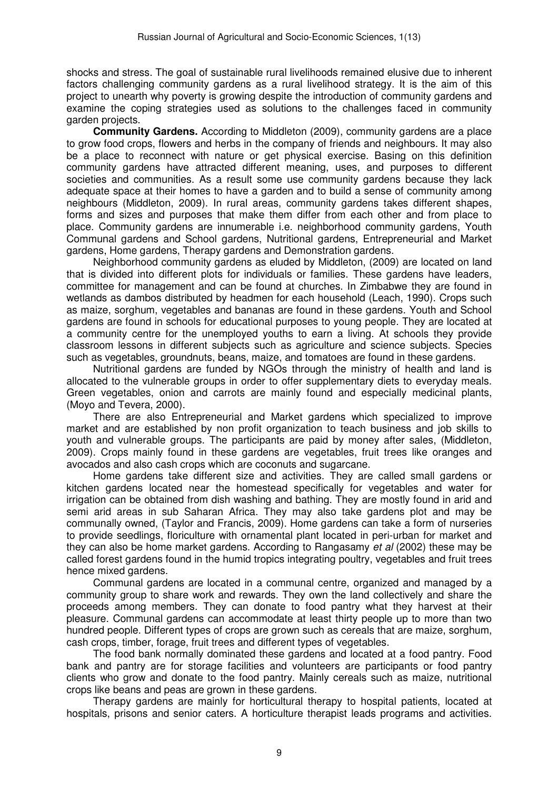shocks and stress. The goal of sustainable rural livelihoods remained elusive due to inherent factors challenging community gardens as a rural livelihood strategy. It is the aim of this project to unearth why poverty is growing despite the introduction of community gardens and examine the coping strategies used as solutions to the challenges faced in community garden projects.

**Community Gardens.** According to Middleton (2009), community gardens are a place to grow food crops, flowers and herbs in the company of friends and neighbours. It may also be a place to reconnect with nature or get physical exercise. Basing on this definition community gardens have attracted different meaning, uses, and purposes to different societies and communities. As a result some use community gardens because they lack adequate space at their homes to have a garden and to build a sense of community among neighbours (Middleton, 2009). In rural areas, community gardens takes different shapes, forms and sizes and purposes that make them differ from each other and from place to place. Community gardens are innumerable i.e. neighborhood community gardens, Youth Communal gardens and School gardens, Nutritional gardens, Entrepreneurial and Market gardens, Home gardens, Therapy gardens and Demonstration gardens.

Neighborhood community gardens as eluded by Middleton, (2009) are located on land that is divided into different plots for individuals or families. These gardens have leaders, committee for management and can be found at churches. In Zimbabwe they are found in wetlands as dambos distributed by headmen for each household (Leach, 1990). Crops such as maize, sorghum, vegetables and bananas are found in these gardens. Youth and School gardens are found in schools for educational purposes to young people. They are located at a community centre for the unemployed youths to earn a living. At schools they provide classroom lessons in different subjects such as agriculture and science subjects. Species such as vegetables, groundnuts, beans, maize, and tomatoes are found in these gardens.

Nutritional gardens are funded by NGOs through the ministry of health and land is allocated to the vulnerable groups in order to offer supplementary diets to everyday meals. Green vegetables, onion and carrots are mainly found and especially medicinal plants, (Moyo and Tevera, 2000).

There are also Entrepreneurial and Market gardens which specialized to improve market and are established by non profit organization to teach business and job skills to youth and vulnerable groups. The participants are paid by money after sales, (Middleton, 2009). Crops mainly found in these gardens are vegetables, fruit trees like oranges and avocados and also cash crops which are coconuts and sugarcane.

Home gardens take different size and activities. They are called small gardens or kitchen gardens located near the homestead specifically for vegetables and water for irrigation can be obtained from dish washing and bathing. They are mostly found in arid and semi arid areas in sub Saharan Africa. They may also take gardens plot and may be communally owned, (Taylor and Francis, 2009). Home gardens can take a form of nurseries to provide seedlings, floriculture with ornamental plant located in peri-urban for market and they can also be home market gardens. According to Rangasamy et al (2002) these may be called forest gardens found in the humid tropics integrating poultry, vegetables and fruit trees hence mixed gardens.

Communal gardens are located in a communal centre, organized and managed by a community group to share work and rewards. They own the land collectively and share the proceeds among members. They can donate to food pantry what they harvest at their pleasure. Communal gardens can accommodate at least thirty people up to more than two hundred people. Different types of crops are grown such as cereals that are maize, sorghum, cash crops, timber, forage, fruit trees and different types of vegetables.

The food bank normally dominated these gardens and located at a food pantry. Food bank and pantry are for storage facilities and volunteers are participants or food pantry clients who grow and donate to the food pantry. Mainly cereals such as maize, nutritional crops like beans and peas are grown in these gardens.

Therapy gardens are mainly for horticultural therapy to hospital patients, located at hospitals, prisons and senior caters. A horticulture therapist leads programs and activities.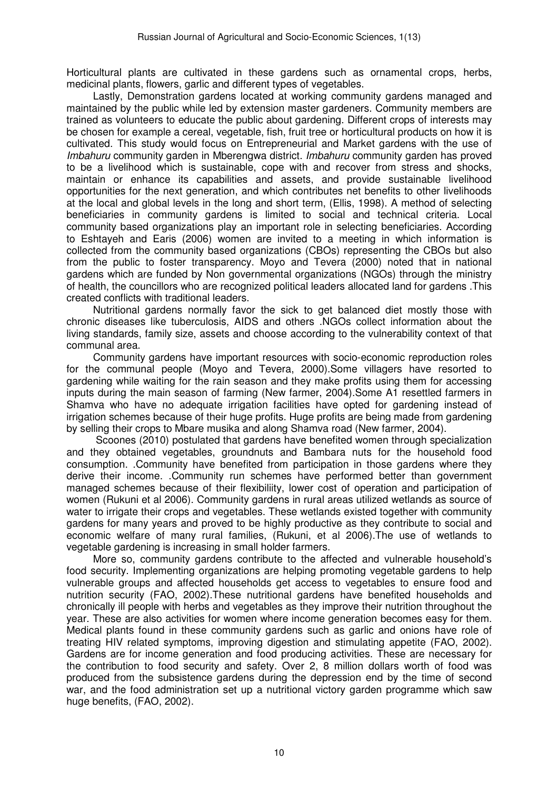Horticultural plants are cultivated in these gardens such as ornamental crops, herbs, medicinal plants, flowers, garlic and different types of vegetables.

Lastly, Demonstration gardens located at working community gardens managed and maintained by the public while led by extension master gardeners. Community members are trained as volunteers to educate the public about gardening. Different crops of interests may be chosen for example a cereal, vegetable, fish, fruit tree or horticultural products on how it is cultivated. This study would focus on Entrepreneurial and Market gardens with the use of Imbahuru community garden in Mberengwa district. Imbahuru community garden has proved to be a livelihood which is sustainable, cope with and recover from stress and shocks, maintain or enhance its capabilities and assets, and provide sustainable livelihood opportunities for the next generation, and which contributes net benefits to other livelihoods at the local and global levels in the long and short term, (Ellis, 1998). A method of selecting beneficiaries in community gardens is limited to social and technical criteria. Local community based organizations play an important role in selecting beneficiaries. According to Eshtayeh and Earis (2006) women are invited to a meeting in which information is collected from the community based organizations (CBOs) representing the CBOs but also from the public to foster transparency. Moyo and Tevera (2000) noted that in national gardens which are funded by Non governmental organizations (NGOs) through the ministry of health, the councillors who are recognized political leaders allocated land for gardens .This created conflicts with traditional leaders.

Nutritional gardens normally favor the sick to get balanced diet mostly those with chronic diseases like tuberculosis, AIDS and others .NGOs collect information about the living standards, family size, assets and choose according to the vulnerability context of that communal area.

Community gardens have important resources with socio-economic reproduction roles for the communal people (Moyo and Tevera, 2000).Some villagers have resorted to gardening while waiting for the rain season and they make profits using them for accessing inputs during the main season of farming (New farmer, 2004).Some A1 resettled farmers in Shamva who have no adequate irrigation facilities have opted for gardening instead of irrigation schemes because of their huge profits. Huge profits are being made from gardening by selling their crops to Mbare musika and along Shamva road (New farmer, 2004).

 Scoones (2010) postulated that gardens have benefited women through specialization and they obtained vegetables, groundnuts and Bambara nuts for the household food consumption. .Community have benefited from participation in those gardens where they derive their income. .Community run schemes have performed better than government managed schemes because of their flexibiliity, lower cost of operation and participation of women (Rukuni et al 2006). Community gardens in rural areas utilized wetlands as source of water to irrigate their crops and vegetables. These wetlands existed together with community gardens for many years and proved to be highly productive as they contribute to social and economic welfare of many rural families, (Rukuni, et al 2006).The use of wetlands to vegetable gardening is increasing in small holder farmers.

More so, community gardens contribute to the affected and vulnerable household's food security. Implementing organizations are helping promoting vegetable gardens to help vulnerable groups and affected households get access to vegetables to ensure food and nutrition security (FAO, 2002).These nutritional gardens have benefited households and chronically ill people with herbs and vegetables as they improve their nutrition throughout the year. These are also activities for women where income generation becomes easy for them. Medical plants found in these community gardens such as garlic and onions have role of treating HIV related symptoms, improving digestion and stimulating appetite (FAO, 2002). Gardens are for income generation and food producing activities. These are necessary for the contribution to food security and safety. Over 2, 8 million dollars worth of food was produced from the subsistence gardens during the depression end by the time of second war, and the food administration set up a nutritional victory garden programme which saw huge benefits, (FAO, 2002).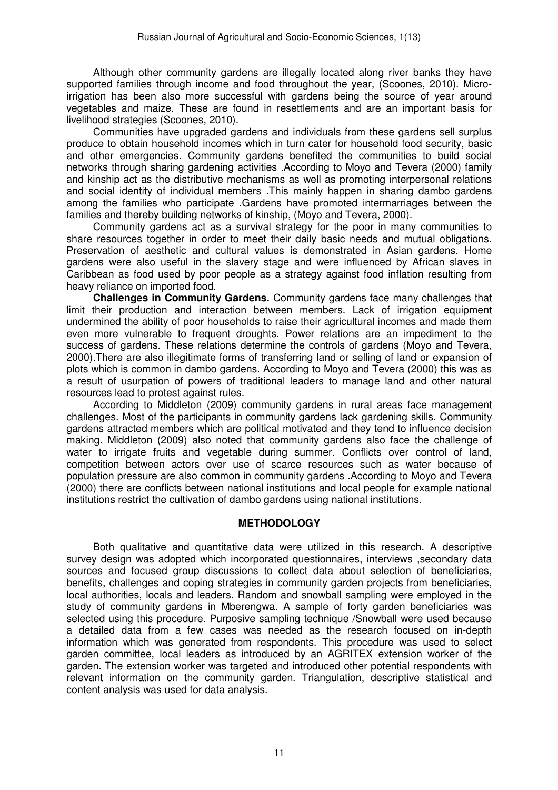Although other community gardens are illegally located along river banks they have supported families through income and food throughout the year, (Scoones, 2010). Microirrigation has been also more successful with gardens being the source of year around vegetables and maize. These are found in resettlements and are an important basis for livelihood strategies (Scoones, 2010).

Communities have upgraded gardens and individuals from these gardens sell surplus produce to obtain household incomes which in turn cater for household food security, basic and other emergencies. Community gardens benefited the communities to build social networks through sharing gardening activities .According to Moyo and Tevera (2000) family and kinship act as the distributive mechanisms as well as promoting interpersonal relations and social identity of individual members .This mainly happen in sharing dambo gardens among the families who participate .Gardens have promoted intermarriages between the families and thereby building networks of kinship, (Moyo and Tevera, 2000).

Community gardens act as a survival strategy for the poor in many communities to share resources together in order to meet their daily basic needs and mutual obligations. Preservation of aesthetic and cultural values is demonstrated in Asian gardens. Home gardens were also useful in the slavery stage and were influenced by African slaves in Caribbean as food used by poor people as a strategy against food inflation resulting from heavy reliance on imported food.

**Challenges in Community Gardens.** Community gardens face many challenges that limit their production and interaction between members. Lack of irrigation equipment undermined the ability of poor households to raise their agricultural incomes and made them even more vulnerable to frequent droughts. Power relations are an impediment to the success of gardens. These relations determine the controls of gardens (Moyo and Tevera, 2000).There are also illegitimate forms of transferring land or selling of land or expansion of plots which is common in dambo gardens. According to Moyo and Tevera (2000) this was as a result of usurpation of powers of traditional leaders to manage land and other natural resources lead to protest against rules.

According to Middleton (2009) community gardens in rural areas face management challenges. Most of the participants in community gardens lack gardening skills. Community gardens attracted members which are political motivated and they tend to influence decision making. Middleton (2009) also noted that community gardens also face the challenge of water to irrigate fruits and vegetable during summer. Conflicts over control of land, competition between actors over use of scarce resources such as water because of population pressure are also common in community gardens .According to Moyo and Tevera (2000) there are conflicts between national institutions and local people for example national institutions restrict the cultivation of dambo gardens using national institutions.

## **METHODOLOGY**

Both qualitative and quantitative data were utilized in this research. A descriptive survey design was adopted which incorporated questionnaires, interviews ,secondary data sources and focused group discussions to collect data about selection of beneficiaries, benefits, challenges and coping strategies in community garden projects from beneficiaries, local authorities, locals and leaders. Random and snowball sampling were employed in the study of community gardens in Mberengwa. A sample of forty garden beneficiaries was selected using this procedure. Purposive sampling technique /Snowball were used because a detailed data from a few cases was needed as the research focused on in-depth information which was generated from respondents. This procedure was used to select garden committee, local leaders as introduced by an AGRITEX extension worker of the garden. The extension worker was targeted and introduced other potential respondents with relevant information on the community garden. Triangulation, descriptive statistical and content analysis was used for data analysis.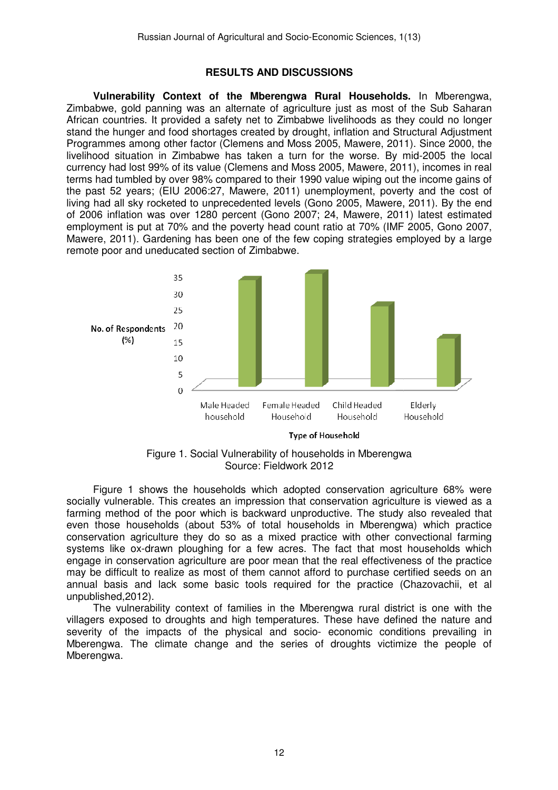## **RESULTS AND DISCUSSIONS**

Vulnerability Context of the Mberengwa Rural Households. In Mberengwa, Zimbabwe, gold panning was an alternate of agriculture just as most of the Sub Saharan African countries. It provided a safety net to Zimbabwe livelihoods as they could no longer stand the hunger and food shortages created by drought, inflation and Structural Adjustment Programmes among other factor (Clemens and Moss 2005, Mawere, 2011). Since 2000, the livelihood situation in Zimbabwe has taken a turn for the worse. By mid-2005 the local currency had lost 99% of its value (Clemens and Moss 2005, Mawere, 2011), incomes in real terms had tumbled by over 98% compared to their 1990 value wiping out the income gains of the past 52 years; (EIU 2006:27 2006:27, Mawere, 2011) unemployment, poverty and the cost of the past 52 years; (EIU 2006:27, Mawere, 2011) unemployment, poverty and the cost of<br>living had all sky rocketed to unprecedented levels (Gono 2005, Mawere, 2011). By the end of 2006 inflation was over 1280 percent (Gono 2007; 24, Mawere, 2011) latest estimated employment is put at 70% and the poverty head count ratio at 70% (IMF 2005, Gono 2007, Mawere, 2011). Gardening has been one of the few coping strategies employed by a l large remote poor and uneducated section of Zimbabwe.



Figure 1. Social Vulnerability of households in Mberengwa Source: Fieldwork 2012

Figure 1 shows the households which adopted conservation agriculture 68% were socially vulnerable. This creates an impression that conservation agriculture is viewed as a farming method of the poor which is backward unproductive. The study also revealed that even those households (about 53% of total households in Mberengwa) which practice conservation agriculture they do so as a mixed practice with other convectional farming systems like ox-drawn ploughing for a few acres. The fact that most households which engage in conservation agriculture are poor mean that the real effectiveness of the practice may be difficult to realize as most of them cannot afford to purchase certified seeds on an annual basis and lack some basic tools required for the practice (Chazovachii (Chazovachii, et al unpublished,2012).

The vulnerability context of families in the Mberengwa rural district is one with the villagers exposed to droughts and high temperatures. These have defined the nature and severity of the impacts of the physical and socio- economic conditions prevailing in Mberengwa. The climate change and the series of droughts victimize the people of Mberengwa.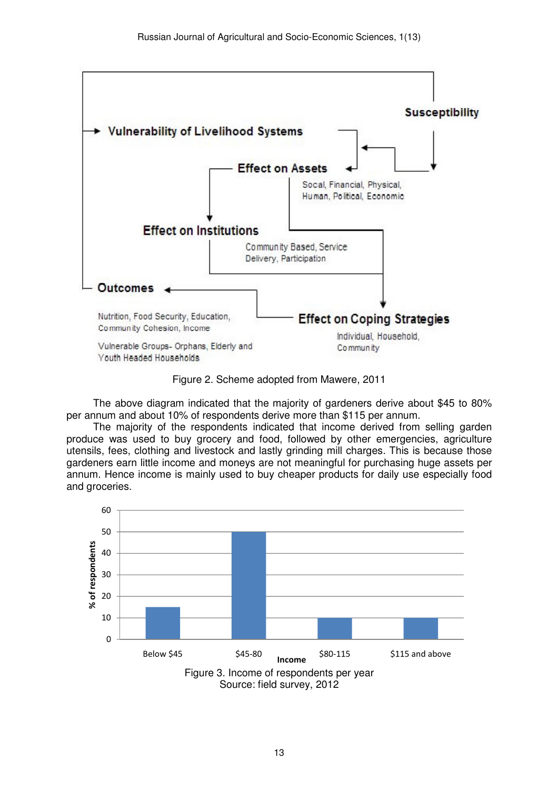

Figure 2. Scheme adopted from Mawere, 2011

The above diagram indicated that the majority of gardeners derive about \$45 to 80% per annum and about 10% of respondents derive more than \$115 per annum.

The majority of the respondents indicated that income derived from selling garden produce was used to buy grocery and food, followed by other emergencies, agriculture utensils, fees, clothing and livestock and lastly grinding mill charges. This is because those gardeners earn little income and moneys are not meaningful for purchasing huge assets per annum. Hence income is mainly used to buy cheaper products for daily use especially food and groceries.

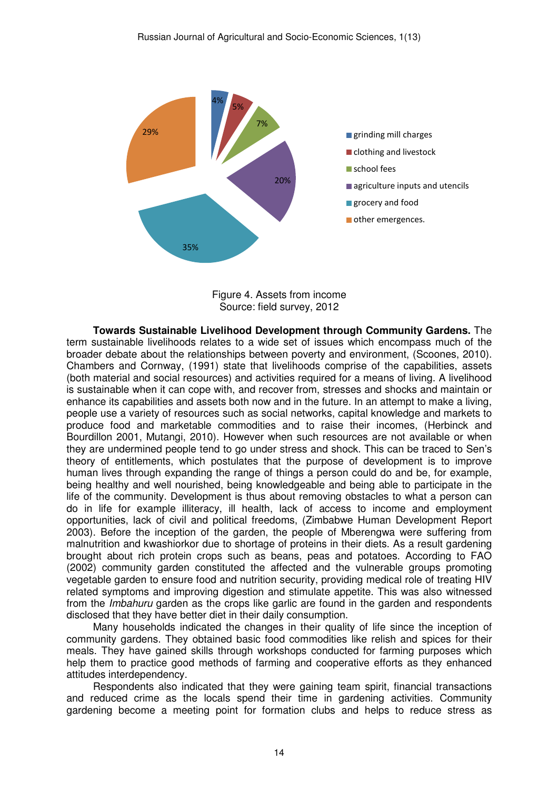

Figure 4. Assets from income Source: field survey, 2012

**Towards Sustainable Livelihood Development through Community Gardens.** The term sustainable livelihoods relates to a wide set of issues which encompass much of the broader debate about the relationships between poverty and environment, (Scoones, 2010). Chambers and Cornway, (1991) state that livelihoods comprise of the capabilities, assets (both material and social resources) and activities required for a means of living. A livelihood is sustainable when it can cope with, and recover from, stresses and shocks and maintain or enhance its capabilities and assets both now and in the future. In an attempt to make a living, people use a variety of resources such as social networks, capital knowledge and markets to produce food and marketable commodities and to raise their incomes, (Herbinck and Bourdillon 2001, Mutangi, 2010). However when such resources are not available or when they are undermined people tend to go under stress and shock. This can be traced to Sen's theory of entitlements, which postulates that the purpose of development is to improve human lives through expanding the range of things a person could do and be, for example, being healthy and well nourished, being knowledgeable and being able to participate in the life of the community. Development is thus about removing obstacles to what a person can do in life for example illiteracy, ill health, lack of access to income and employment opportunities, lack of civil and political freedoms, (Zimbabwe Human Development Report 2003). Before the inception of the garden, the people of Mberengwa were suffering from malnutrition and kwashiorkor due to shortage of proteins in their diets. As a result gardening brought about rich protein crops such as beans, peas and potatoes. According to FAO (2002) community garden constituted the affected and the vulnerable groups promoting vegetable garden to ensure food and nutrition security, providing medical role of treating HIV related symptoms and improving digestion and stimulate appetite. This was also witnessed from the Imbahuru garden as the crops like garlic are found in the garden and respondents disclosed that they have better diet in their daily consumption.

Many households indicated the changes in their quality of life since the inception of community gardens. They obtained basic food commodities like relish and spices for their meals. They have gained skills through workshops conducted for farming purposes which help them to practice good methods of farming and cooperative efforts as they enhanced attitudes interdependency.

Respondents also indicated that they were gaining team spirit, financial transactions and reduced crime as the locals spend their time in gardening activities. Community gardening become a meeting point for formation clubs and helps to reduce stress as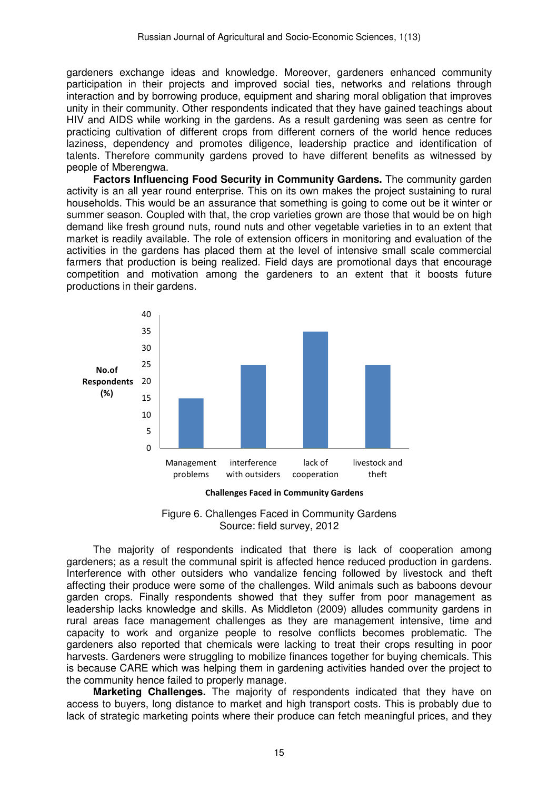gardeners exchange ideas and knowledge. Moreover, gardeners enhanced community participation in their projects and improved social ties, networks and relations through interaction and by borrowing produce, equipment and sharing moral obligation that improves unity in their community. Other respondents indicated that they have gained teachings about HIV and AIDS while working in the gardens. As a result gardening was seen as centre for practicing cultivation of different crops from different corners of the world hence reduces laziness, dependency and promotes diligence, leadership practice and identification of talents. Therefore community gardens proved to have different benefits as witnessed by people of Mberengwa.

**Factors Influencing Food Security in Community Gardens.** The community garden activity is an all year round enterprise. This on its own makes the project sustaining to rural households. This would be an assurance that something is going to come out be it winter or summer season. Coupled with that, the crop varieties grown are those that would be on high demand like fresh ground nuts, round nuts and other vegetable varieties in to an extent that market is readily available. The role of extension officers in monitoring and evaluation of the activities in the gardens has placed them at the level of intensive small scale commercial farmers that production is being realized. Field days are promotional days that encourage competition and motivation among the gardeners to an extent that it boosts future productions in their gardens.



Challenges Faced in Community Gardens

Figure 6. Challenges Faced in Community Gardens Source: field survey, 2012

The majority of respondents indicated that there is lack of cooperation among gardeners; as a result the communal spirit is affected hence reduced production in gardens. Interference with other outsiders who vandalize fencing followed by livestock and theft affecting their produce were some of the challenges. Wild animals such as baboons devour garden crops. Finally respondents showed that they suffer from poor management as leadership lacks knowledge and skills. As Middleton (2009) alludes community gardens in rural areas face management challenges as they are management intensive, time and capacity to work and organize people to resolve conflicts becomes problematic. The gardeners also reported that chemicals were lacking to treat their crops resulting in poor harvests. Gardeners were struggling to mobilize finances together for buying chemicals. This is because CARE which was helping them in gardening activities handed over the project to the community hence failed to properly manage.

**Marketing Challenges.** The majority of respondents indicated that they have on access to buyers, long distance to market and high transport costs. This is probably due to lack of strategic marketing points where their produce can fetch meaningful prices, and they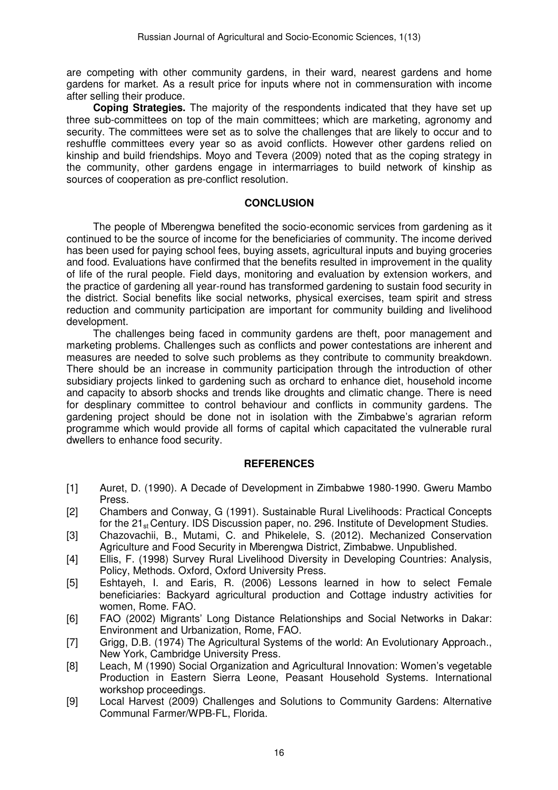are competing with other community gardens, in their ward, nearest gardens and home gardens for market. As a result price for inputs where not in commensuration with income after selling their produce.

**Coping Strategies.** The majority of the respondents indicated that they have set up three sub-committees on top of the main committees; which are marketing, agronomy and security. The committees were set as to solve the challenges that are likely to occur and to reshuffle committees every year so as avoid conflicts. However other gardens relied on kinship and build friendships. Moyo and Tevera (2009) noted that as the coping strategy in the community, other gardens engage in intermarriages to build network of kinship as sources of cooperation as pre-conflict resolution.

## **CONCLUSION**

The people of Mberengwa benefited the socio-economic services from gardening as it continued to be the source of income for the beneficiaries of community. The income derived has been used for paying school fees, buying assets, agricultural inputs and buying groceries and food. Evaluations have confirmed that the benefits resulted in improvement in the quality of life of the rural people. Field days, monitoring and evaluation by extension workers, and the practice of gardening all year-round has transformed gardening to sustain food security in the district. Social benefits like social networks, physical exercises, team spirit and stress reduction and community participation are important for community building and livelihood development.

The challenges being faced in community gardens are theft, poor management and marketing problems. Challenges such as conflicts and power contestations are inherent and measures are needed to solve such problems as they contribute to community breakdown. There should be an increase in community participation through the introduction of other subsidiary projects linked to gardening such as orchard to enhance diet, household income and capacity to absorb shocks and trends like droughts and climatic change. There is need for desplinary committee to control behaviour and conflicts in community gardens. The gardening project should be done not in isolation with the Zimbabwe's agrarian reform programme which would provide all forms of capital which capacitated the vulnerable rural dwellers to enhance food security.

# **REFERENCES**

- [1] Auret, D. (1990). A Decade of Development in Zimbabwe 1980-1990. Gweru Mambo Press.
- [2] Chambers and Conway, G (1991). Sustainable Rural Livelihoods: Practical Concepts for the  $21<sub>st</sub>$  Century. IDS Discussion paper, no. 296. Institute of Development Studies.
- [3] Chazovachii, B., Mutami, C. and Phikelele, S. (2012). Mechanized Conservation Agriculture and Food Security in Mberengwa District, Zimbabwe. Unpublished.
- [4] Ellis, F. (1998) Survey Rural Livelihood Diversity in Developing Countries: Analysis, Policy, Methods. Oxford, Oxford University Press.
- [5] Eshtayeh, I. and Earis, R. (2006) Lessons learned in how to select Female beneficiaries: Backyard agricultural production and Cottage industry activities for women, Rome. FAO.
- [6] FAO (2002) Migrants' Long Distance Relationships and Social Networks in Dakar: Environment and Urbanization, Rome, FAO.
- [7] Grigg, D.B. (1974) The Agricultural Systems of the world: An Evolutionary Approach., New York, Cambridge University Press.
- [8] Leach, M (1990) Social Organization and Agricultural Innovation: Women's vegetable Production in Eastern Sierra Leone, Peasant Household Systems. International workshop proceedings.
- [9] Local Harvest (2009) Challenges and Solutions to Community Gardens: Alternative Communal Farmer/WPB-FL, Florida.